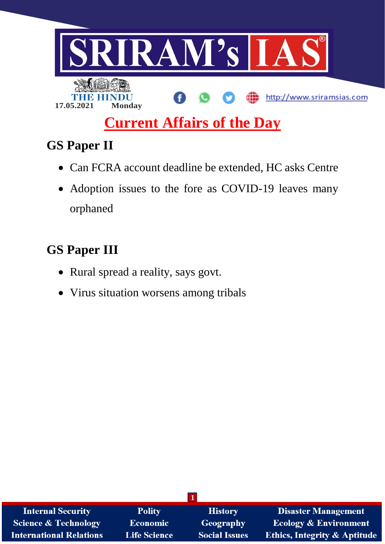

# **Current Affairs of the Day**

# **GS Paper II**

- Can FCRA account deadline be extended, HC asks Centre
- Adoption issues to the fore as COVID-19 leaves many orphaned

# **GS Paper III**

- Rural spread a reality, says govt.
- Virus situation worsens among tribals

| <b>Internal Security</b>        | <b>Polity</b>   | <b>History</b>       | <b>Disaster Management</b>              |
|---------------------------------|-----------------|----------------------|-----------------------------------------|
| <b>Science &amp; Technology</b> | <b>Economic</b> | Geography            | <b>Ecology &amp; Environment</b>        |
| <b>International Relations</b>  | Life Science    | <b>Social Issues</b> | <b>Ethics, Integrity &amp; Aptitude</b> |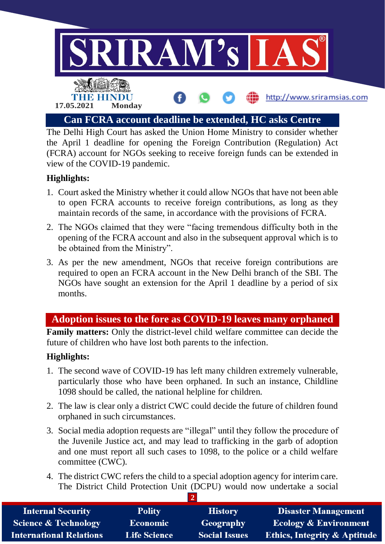

The Delhi High Court has asked the Union Home Ministry to consider whether the April 1 deadline for opening the Foreign Contribution (Regulation) Act (FCRA) account for NGOs seeking to receive foreign funds can be extended in view of the COVID-19 pandemic.

## **Highlights:**

- 1. Court asked the Ministry whether it could allow NGOs that have not been able to open FCRA accounts to receive foreign contributions, as long as they maintain records of the same, in accordance with the provisions of FCRA.
- 2. The NGOs claimed that they were "facing tremendous difficulty both in the opening of the FCRA account and also in the subsequent approval which is to be obtained from the Ministry".
- 3. As per the new amendment, NGOs that receive foreign contributions are required to open an FCRA account in the New Delhi branch of the SBI. The NGOs have sought an extension for the April 1 deadline by a period of six months.

# **Adoption issues to the fore as COVID-19 leaves many orphaned**

**Family matters:** Only the district-level child welfare committee can decide the future of children who have lost both parents to the infection.

#### **Highlights:**

- 1. The second wave of COVID-19 has left many children extremely vulnerable, particularly those who have been orphaned. In such an instance, Childline 1098 should be called, the national helpline for children.
- 2. The law is clear only a district CWC could decide the future of children found orphaned in such circumstances.
- 3. Social media adoption requests are "illegal" until they follow the procedure of the Juvenile Justice act, and may lead to trafficking in the garb of adoption and one must report all such cases to 1098, to the police or a child welfare committee (CWC).
- 4. The district CWC refers the child to a special adoption agency for interim care. The District Child Protection Unit (DCPU) would now undertake a social

| <b>Internal Security</b>        | <b>Polity</b>       | <b>History</b>       | <b>Disaster Management</b>              |  |  |
|---------------------------------|---------------------|----------------------|-----------------------------------------|--|--|
| <b>Science &amp; Technology</b> | <b>Economic</b>     | Geography            | <b>Ecology &amp; Environment</b>        |  |  |
| <b>International Relations</b>  | <b>Life Science</b> | <b>Social Issues</b> | <b>Ethics, Integrity &amp; Aptitude</b> |  |  |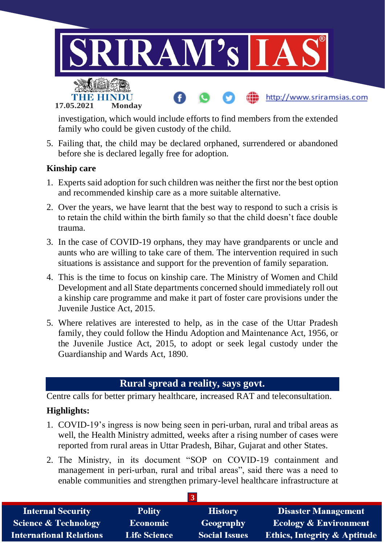

investigation, which would include efforts to find members from the extended family who could be given custody of the child.

5. Failing that, the child may be declared orphaned, surrendered or abandoned before she is declared legally free for adoption.

#### **Kinship care**

- 1. Experts said adoption for such children was neither the first nor the best option and recommended kinship care as a more suitable alternative.
- 2. Over the years, we have learnt that the best way to respond to such a crisis is to retain the child within the birth family so that the child doesn't face double trauma.
- 3. In the case of COVID-19 orphans, they may have grandparents or uncle and aunts who are willing to take care of them. The intervention required in such situations is assistance and support for the prevention of family separation.
- 4. This is the time to focus on kinship care. The Ministry of Women and Child Development and all State departments concerned should immediately roll out a kinship care programme and make it part of foster care provisions under the Juvenile Justice Act, 2015.
- 5. Where relatives are interested to help, as in the case of the Uttar Pradesh family, they could follow the Hindu Adoption and Maintenance Act, 1956, or the Juvenile Justice Act, 2015, to adopt or seek legal custody under the Guardianship and Wards Act, 1890.

#### **Rural spread a reality, says govt.**

Centre calls for better primary healthcare, increased RAT and teleconsultation.

## **Highlights:**

- 1. COVID-19's ingress is now being seen in peri-urban, rural and tribal areas as well, the Health Ministry admitted, weeks after a rising number of cases were reported from rural areas in Uttar Pradesh, Bihar, Gujarat and other States.
- 2. The Ministry, in its document "SOP on COVID-19 containment and management in peri-urban, rural and tribal areas", said there was a need to enable communities and strengthen primary-level healthcare infrastructure at

| <b>Internal Security</b>        | <b>Polity</b>       | <b>History</b>       | Disaster Management                     |  |  |  |
|---------------------------------|---------------------|----------------------|-----------------------------------------|--|--|--|
| <b>Science &amp; Technology</b> | <b>Economic</b>     | Geography            | <b>Ecology &amp; Environment</b>        |  |  |  |
| <b>International Relations</b>  | <b>Life Science</b> | <b>Social Issues</b> | <b>Ethics, Integrity &amp; Aptitude</b> |  |  |  |